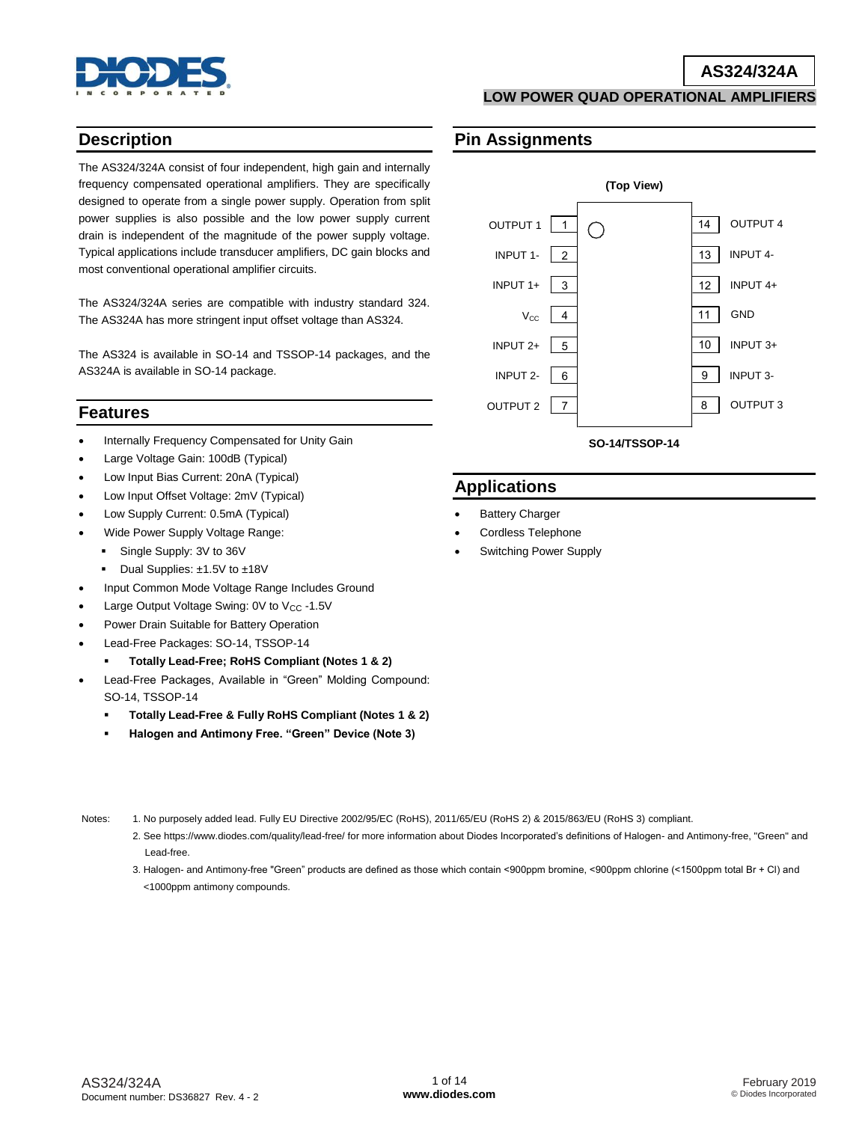

## **AS324/324A**

**LOW POWER QUAD OPERATIONAL AMPLIFIERS**

## **Description**

The AS324/324A consist of four independent, high gain and internally frequency compensated operational amplifiers. They are specifically designed to operate from a single power supply. Operation from split power supplies is also possible and the low power supply current drain is independent of the magnitude of the power supply voltage. Typical applications include transducer amplifiers, DC gain blocks and most conventional operational amplifier circuits.

The AS324/324A series are compatible with industry standard 324. The AS324A has more stringent input offset voltage than AS324.

The AS324 is available in SO-14 and TSSOP-14 packages, and the AS324A is available in SO-14 package.

## **Features**

- Internally Frequency Compensated for Unity Gain
- Large Voltage Gain: 100dB (Typical)
- Low Input Bias Current: 20nA (Typical)
- Low Input Offset Voltage: 2mV (Typical)
- Low Supply Current: 0.5mA (Typical)
- Wide Power Supply Voltage Range:
	- Single Supply: 3V to 36V
	- Dual Supplies: ±1.5V to ±18V
- Input Common Mode Voltage Range Includes Ground
- Large Output Voltage Swing: 0V to V<sub>CC</sub> -1.5V
- Power Drain Suitable for Battery Operation
- Lead-Free Packages: SO-14, TSSOP-14
	- **Totally Lead-Free; RoHS Compliant (Notes 1 & 2)**
- Lead-Free Packages, Available in "Green" Molding Compound: SO-14, TSSOP-14
	- **Totally Lead-Free & Fully RoHS Compliant (Notes 1 & 2)**
	- **Halogen and Antimony Free. "Green" Device (Note 3)**
- 
- Notes: 1. No purposely added lead. Fully EU Directive 2002/95/EC (RoHS), 2011/65/EU (RoHS 2) & 2015/863/EU (RoHS 3) compliant.
	- 2. See https://www.diodes.com/quality/lead-free/ for more information about Diodes Incorporated's definitions of Halogen- and Antimony-free, "Green" and Lead-free.
	- 3. Halogen- and Antimony-free "Green" products are defined as those which contain <900ppm bromine, <900ppm chlorine (<1500ppm total Br + Cl) and <1000ppm antimony compounds.

# **Pin Assignments**



# **Applications**

- Battery Charger
- Cordless Telephone
- Switching Power Supply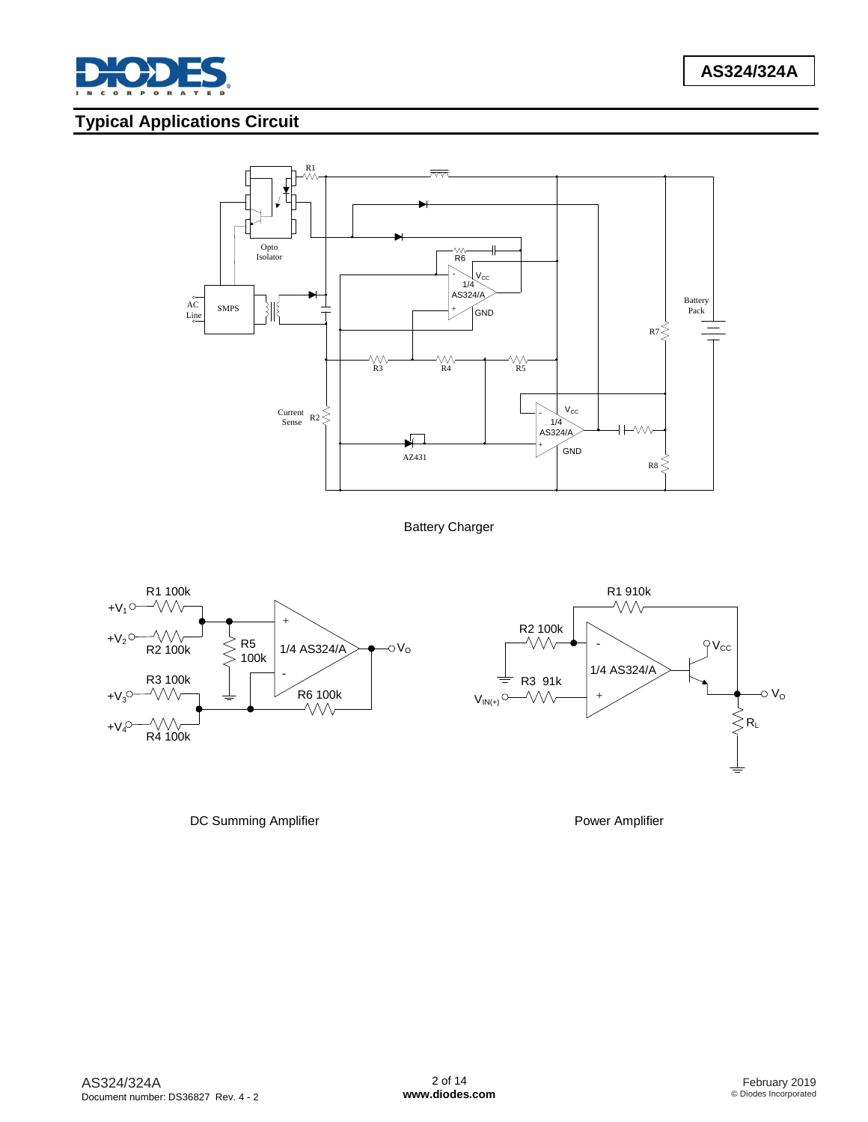

# **Typical Applications Circuit**



Battery Charger





DC Summing Amplifier **Power Amplifier** Power Amplifier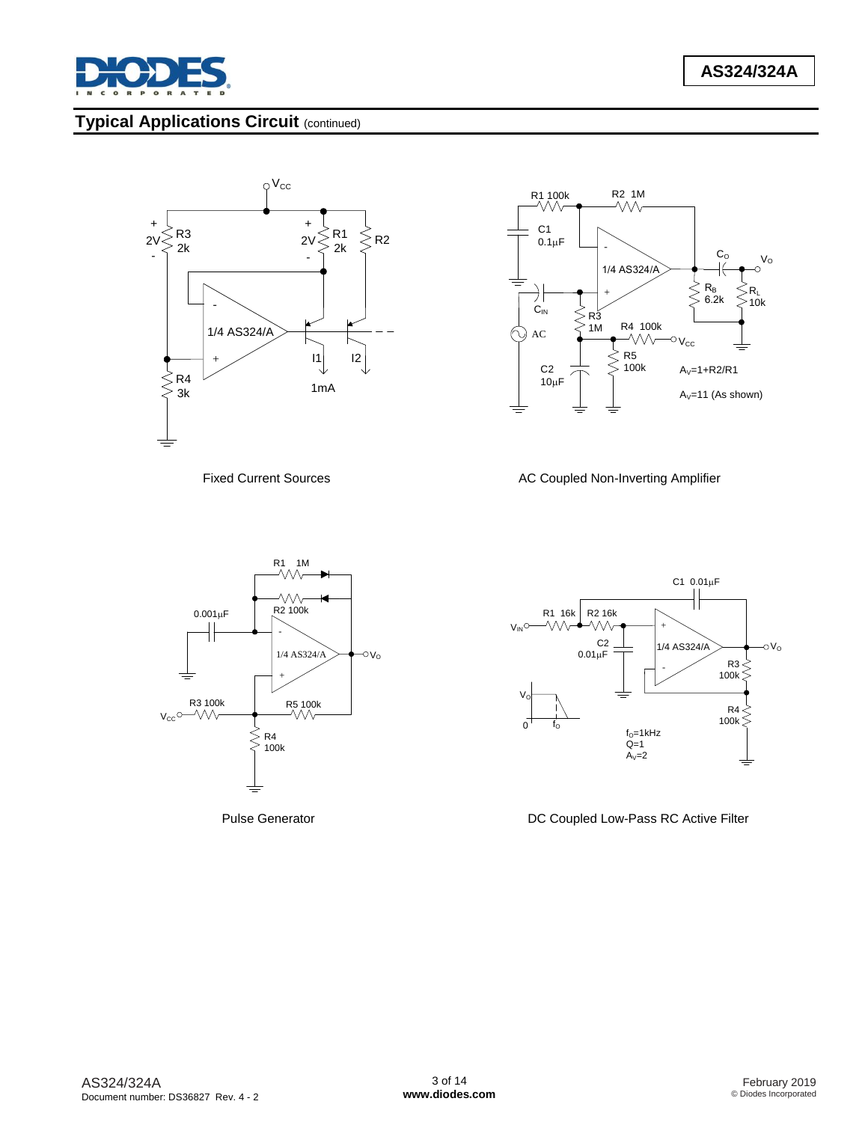

# **Typical Applications Circuit** (continued)







Fixed Current Sources **AC Coupled Non-Inverting Amplifier** 



Pulse Generator **DC Coupled Low-Pass RC Active Filter**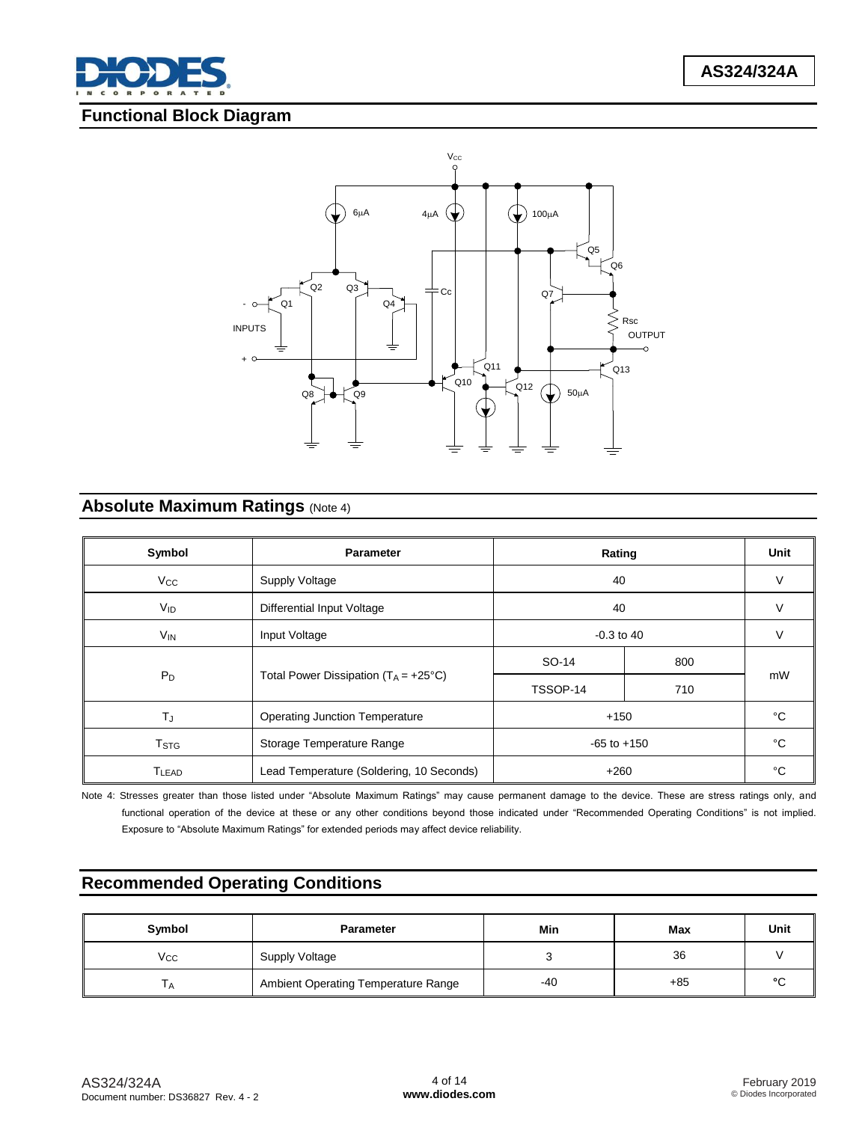

# **Functional Block Diagram**



# **Absolute Maximum Ratings (Note 4)**

| Symbol                  | <b>Parameter</b>                                   | Rating   | Unit |        |  |
|-------------------------|----------------------------------------------------|----------|------|--------|--|
| $V_{CC}$                | Supply Voltage                                     | 40       | V    |        |  |
| <b>V<sub>ID</sub></b>   | Differential Input Voltage                         | 40       |      | $\vee$ |  |
| V <sub>IN</sub>         | $-0.3$ to 40<br>Input Voltage                      |          |      | $\vee$ |  |
| $P_D$                   |                                                    | SO-14    | 800  | mW     |  |
|                         | Total Power Dissipation $(T_A = +25^{\circ}C)$     | TSSOP-14 | 710  |        |  |
| $T_{\rm J}$             | <b>Operating Junction Temperature</b>              | $+150$   |      | °C     |  |
| <b>T</b> <sub>STG</sub> | Storage Temperature Range<br>$-65$ to $+150$       |          | °C   |        |  |
| TLEAD                   | Lead Temperature (Soldering, 10 Seconds)<br>$+260$ |          | °C   |        |  |

Note 4: Stresses greater than those listed under "Absolute Maximum Ratings" may cause permanent damage to the device. These are stress ratings only, and functional operation of the device at these or any other conditions beyond those indicated under "Recommended Operating Conditions" is not implied. Exposure to "Absolute Maximum Ratings" for extended periods may affect device reliability.

# **Recommended Operating Conditions**

| Symbol       | <b>Parameter</b>                    | Min | Max   | Unit   |
|--------------|-------------------------------------|-----|-------|--------|
| $V_{\rm CC}$ | Supply Voltage                      |     | 36    |        |
| ٠A           | Ambient Operating Temperature Range | -40 | $+85$ | $\sim$ |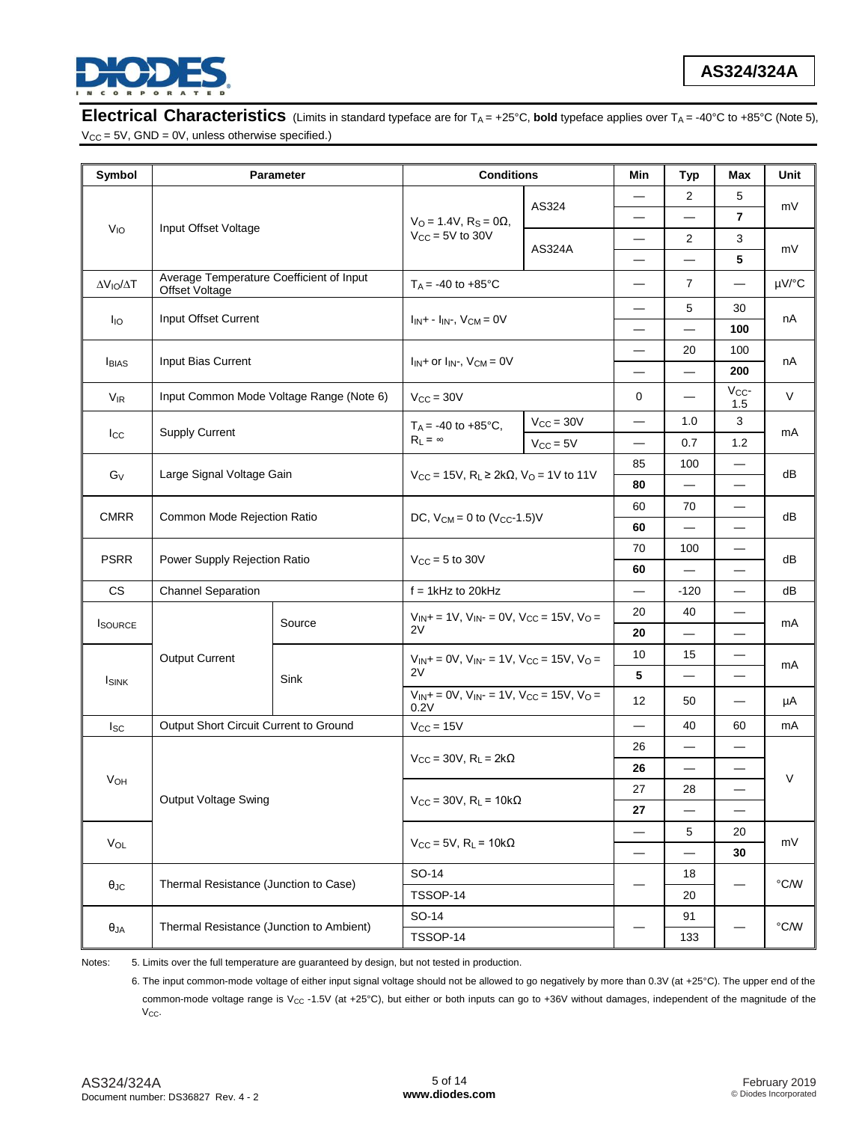

**Electrical Characteristics** (Limits in standard typeface are for T<sub>A</sub> = +25°C, bold typeface applies over T<sub>A</sub> = -40°C to +85°C (Note 5),  $V_{CC} = 5V$ , GND = 0V, unless otherwise specified.)

| Symbol                                      |                                                            | <b>Parameter</b>                         | <b>Conditions</b>                                                                                                                        |                                     | Min                      | <b>Typ</b>               | Max                      | Unit           |
|---------------------------------------------|------------------------------------------------------------|------------------------------------------|------------------------------------------------------------------------------------------------------------------------------------------|-------------------------------------|--------------------------|--------------------------|--------------------------|----------------|
|                                             |                                                            |                                          |                                                                                                                                          |                                     |                          | $\overline{2}$           | 5                        |                |
| V <sub>IO</sub>                             |                                                            |                                          | $V_O = 1.4V$ , $R_S = 0\Omega$ ,                                                                                                         | AS324                               |                          |                          | $\overline{7}$           | mV             |
|                                             |                                                            | Input Offset Voltage                     |                                                                                                                                          |                                     |                          | $\overline{2}$           | 3                        |                |
|                                             |                                                            |                                          |                                                                                                                                          | <b>AS324A</b>                       |                          |                          | 5                        | mV             |
| $\Delta V_{IO}/\Delta T$                    | Average Temperature Coefficient of Input<br>Offset Voltage |                                          | $T_A = -40$ to $+85^{\circ}$ C                                                                                                           |                                     |                          | 7                        |                          | µV/°C          |
| lio                                         | Input Offset Current                                       |                                          | $I_{IN}$ + - $I_{IN}$ , $V_{CM}$ = 0V                                                                                                    |                                     |                          | 5                        | 30                       | nA             |
|                                             |                                                            |                                          |                                                                                                                                          |                                     | $\overline{\phantom{0}}$ | $\overline{\phantom{0}}$ | 100                      |                |
| <b>I</b> BIAS                               | Input Bias Current                                         |                                          | $I_{IN}$ + or $I_{IN}$ -, $V_{CM}$ = 0V                                                                                                  |                                     |                          | 20                       | 100                      | nA             |
|                                             |                                                            |                                          |                                                                                                                                          |                                     | $\overline{\phantom{0}}$ | $\overline{\phantom{0}}$ | 200                      |                |
| $\mathsf{V}_{\mathsf{IR}}$                  |                                                            | Input Common Mode Voltage Range (Note 6) | $V_{\text{CC}} = 30V$                                                                                                                    |                                     | 0                        |                          | $V_{CC}$ -<br>1.5        | $\vee$         |
|                                             |                                                            |                                          | $T_A = -40$ to $+85^{\circ}$ C,                                                                                                          | $V_{\text{CC}} = 30V$               |                          | 1.0                      | 3                        | mA             |
| $_{\text{lcc}}$                             | <b>Supply Current</b>                                      |                                          | $R_L = \infty$                                                                                                                           | $V_{CC} = 5V$                       | $\overline{\phantom{0}}$ | 0.7                      | 1.2                      |                |
| Large Signal Voltage Gain<br>G <sub>V</sub> |                                                            |                                          |                                                                                                                                          |                                     | 85                       | 100                      | $\overline{\phantom{0}}$ |                |
|                                             |                                                            |                                          | $V_{CC}$ = 15V, R <sub>L</sub> ≥ 2kΩ, V <sub>O</sub> = 1V to 11V                                                                         |                                     | 80                       |                          |                          | dB             |
| <b>CMRR</b><br>Common Mode Rejection Ratio  |                                                            |                                          |                                                                                                                                          | 60                                  | 70                       |                          |                          |                |
|                                             |                                                            | DC, $V_{CM} = 0$ to $(V_{CC} - 1.5)V$    |                                                                                                                                          | 60                                  |                          |                          | dB                       |                |
| <b>PSRR</b>                                 |                                                            |                                          |                                                                                                                                          | 70                                  | 100                      |                          |                          |                |
|                                             | Power Supply Rejection Ratio                               |                                          | $V_{\text{CC}} = 5$ to 30V                                                                                                               |                                     | 60                       | $\overline{\phantom{0}}$ |                          | dB             |
| <b>CS</b>                                   | <b>Channel Separation</b>                                  |                                          | $f = 1$ kHz to 20kHz                                                                                                                     |                                     |                          | $-120$                   |                          | dB             |
|                                             |                                                            | Source                                   | $V_{IN}$ + = 1V, $V_{IN}$ - = 0V, $V_{CC}$ = 15V, $V_{O}$ =<br>2V                                                                        |                                     | 20                       | 40                       |                          | mA             |
| <b>I</b> SOURCE                             |                                                            |                                          |                                                                                                                                          |                                     | 20                       |                          |                          |                |
|                                             | Output Current                                             | Sink                                     | $V_{IN}$ + = 0V, $V_{IN}$ - = 1V, $V_{CC}$ = 15V, $V_{O}$ =<br>2V<br>$V_{IN}$ + = 0V, $V_{IN}$ - = 1V, $V_{CC}$ = 15V, $V_{O}$ =<br>0.2V |                                     | 10                       | 15                       |                          | mA             |
| <b>I</b> SINK                               |                                                            |                                          |                                                                                                                                          |                                     | 5                        |                          |                          |                |
|                                             |                                                            |                                          |                                                                                                                                          |                                     | 12                       | 50                       |                          | μA             |
| $_{\rm lsc}$                                | Output Short Circuit Current to Ground                     |                                          | $V_{CC} = 15V$                                                                                                                           |                                     |                          | 40                       | 60                       | mA             |
|                                             |                                                            |                                          |                                                                                                                                          | $V_{CC}$ = 30V, $R_L$ = 2k $\Omega$ |                          |                          |                          | $\vee$         |
|                                             |                                                            |                                          |                                                                                                                                          |                                     | 26                       |                          |                          |                |
| V <sub>OH</sub><br>Output Voltage Swing     |                                                            |                                          | 27                                                                                                                                       | 28                                  |                          |                          |                          |                |
|                                             |                                                            |                                          | $V_{CC}$ = 30V, R <sub>L</sub> = 10k $\Omega$                                                                                            |                                     | 27                       |                          |                          |                |
|                                             | $V_{OL}$                                                   |                                          | $V_{CC}$ = 5V, R <sub>L</sub> = 10k $\Omega$                                                                                             |                                     |                          | 5                        | 20                       | mV             |
|                                             |                                                            |                                          |                                                                                                                                          |                                     |                          | 30                       |                          |                |
|                                             | Thermal Resistance (Junction to Case)                      |                                          | SO-14<br>TSSOP-14                                                                                                                        |                                     |                          | 18                       |                          | $^{\circ}$ C/W |
| $\theta_{\text{JC}}$                        |                                                            |                                          |                                                                                                                                          |                                     |                          | 20                       |                          |                |
|                                             | Thermal Resistance (Junction to Ambient)                   |                                          | SO-14                                                                                                                                    |                                     |                          | 91                       |                          | $^{\circ}$ C/W |
| $\theta_{JA}$                               |                                                            |                                          | TSSOP-14                                                                                                                                 |                                     |                          | 133                      |                          |                |

Notes: 5. Limits over the full temperature are guaranteed by design, but not tested in production.

6. The input common-mode voltage of either input signal voltage should not be allowed to go negatively by more than 0.3V (at +25°C). The upper end of the common-mode voltage range is V<sub>CC</sub> -1.5V (at +25°C), but either or both inputs can go to +36V without damages, independent of the magnitude of the  $V_{CC}$ .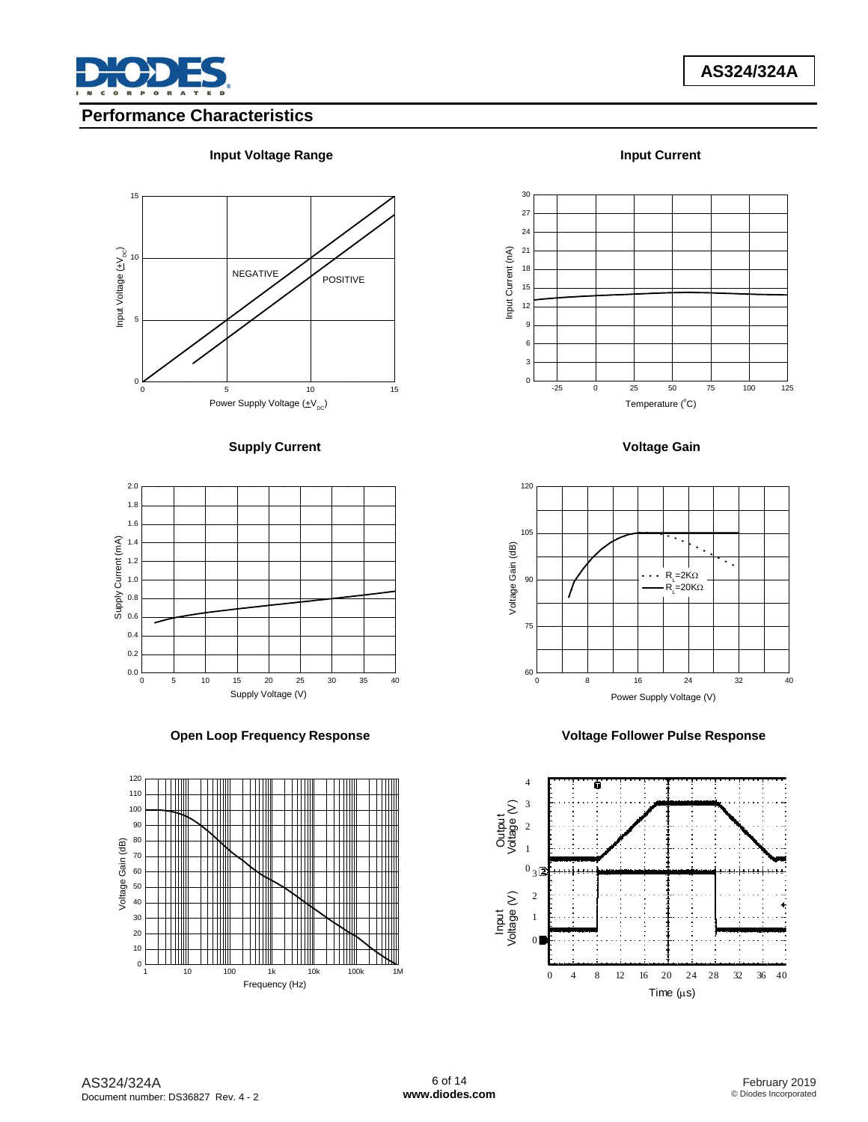

# **Performance Characteristics**

### **Input Voltage Range Input Current**













### **Supply Current Current Current Current Current Current Current Current Current Current Current Current Current Current Current Current Current Current Current Current Current Current Current Current Current Current Curren**

Power Supply Voltage  $(\pm V_{DC})$ 

0 5 10 15





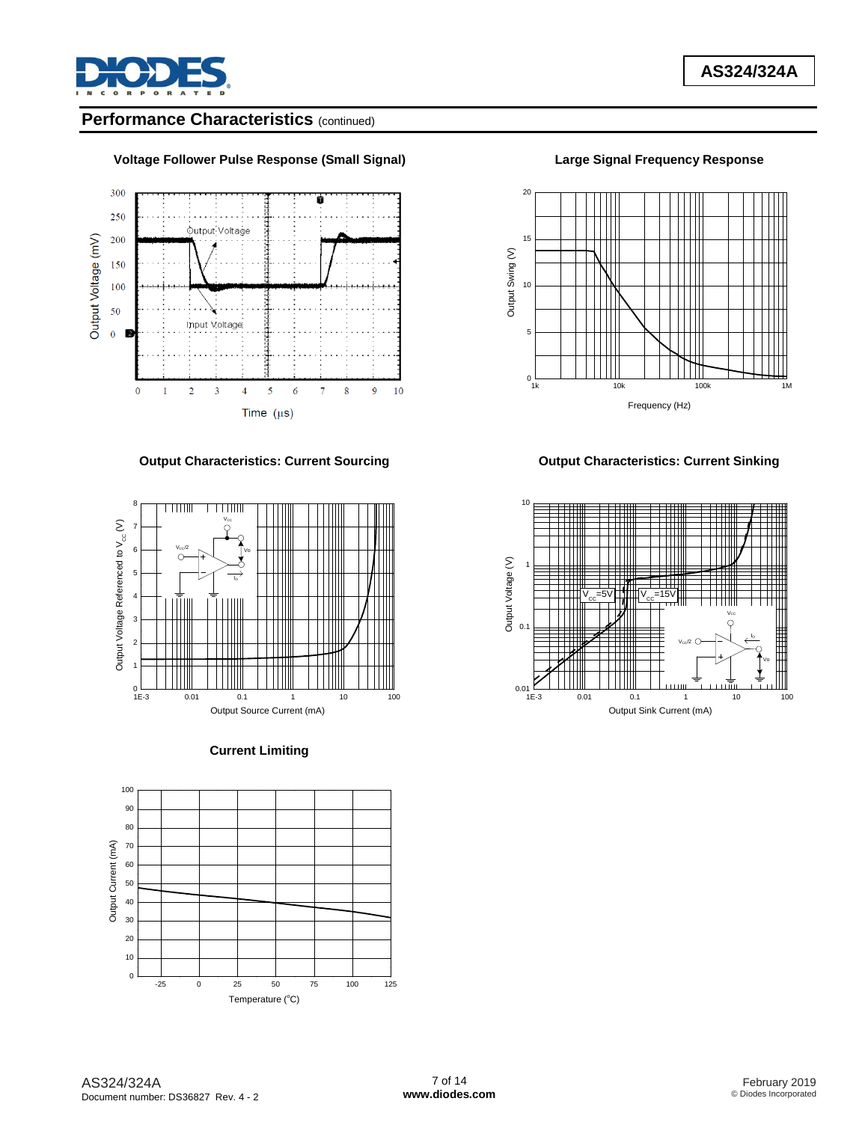

# **Performance Characteristics** (continued)





## **Output Characteristics: Current Sourcing Current Current Sinking Current Sinking**



### **Current Limiting**





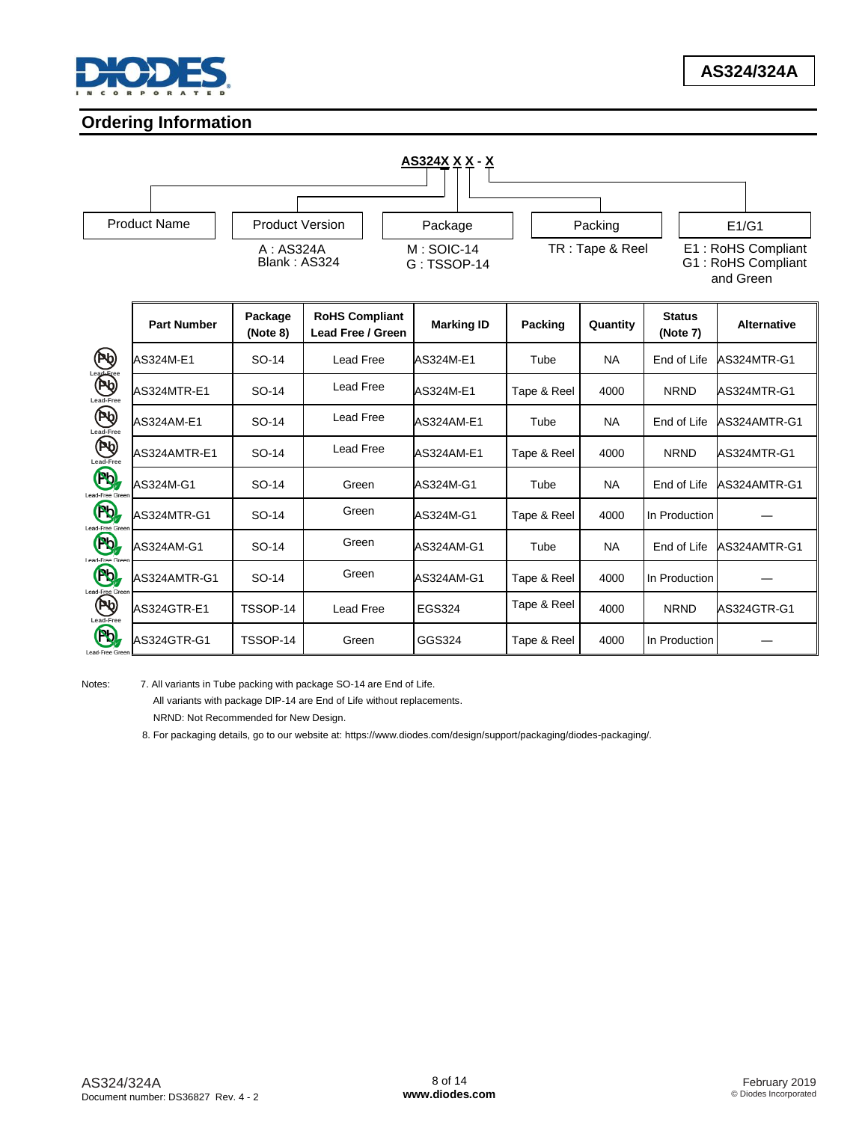

# **Ordering Information**



Notes: 7. All variants in Tube packing with package SO-14 are End of Life. All variants with package DIP-14 are End of Life without replacements.

NRND: Not Recommended for New Design.

8. For packaging details, go to our website at: https://www.diodes.com/design/support/packaging/diodes-packaging/.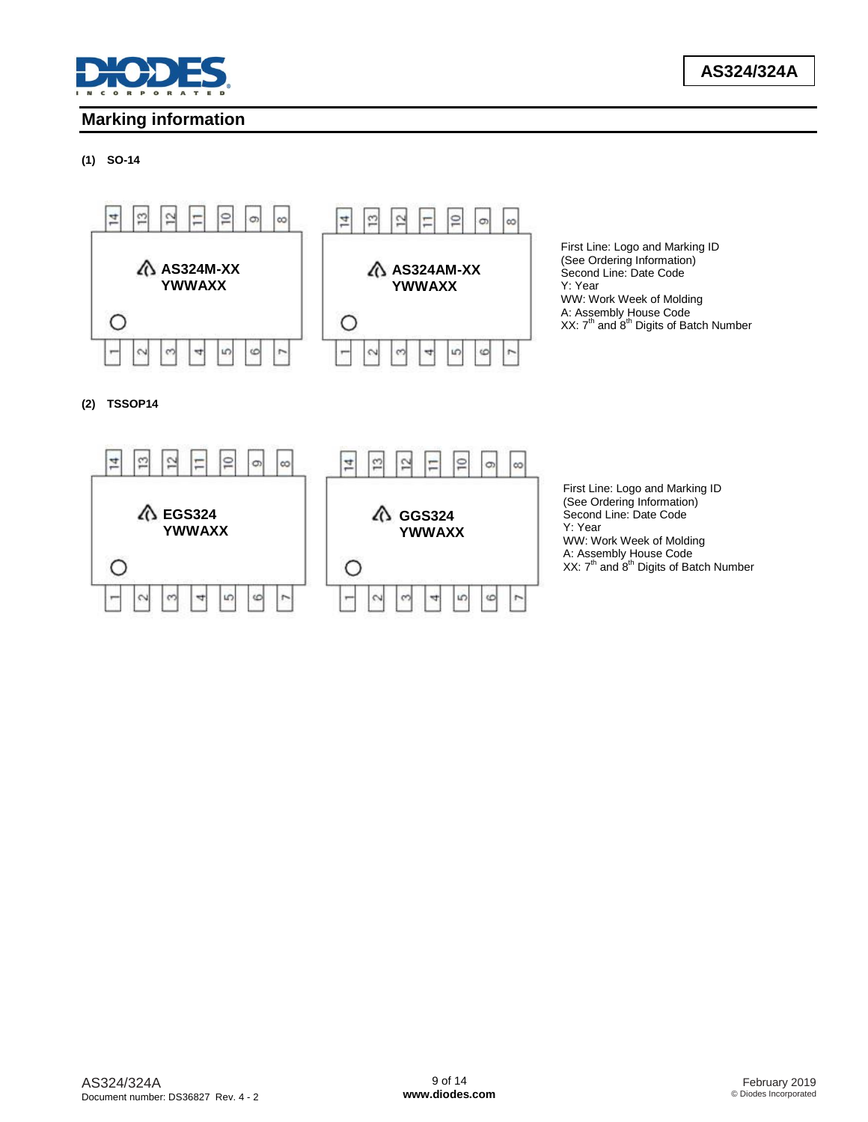

# **Marking information**

### **(1) SO-14**



**(2) TSSOP14**



First Line: Logo and Marking ID (See Ordering Information) Second Line: Date Code WW: Work Week of Molding A: Assembly House Code<br>XX: 7<sup>th</sup> and 8<sup>th</sup> Digits of Batch Number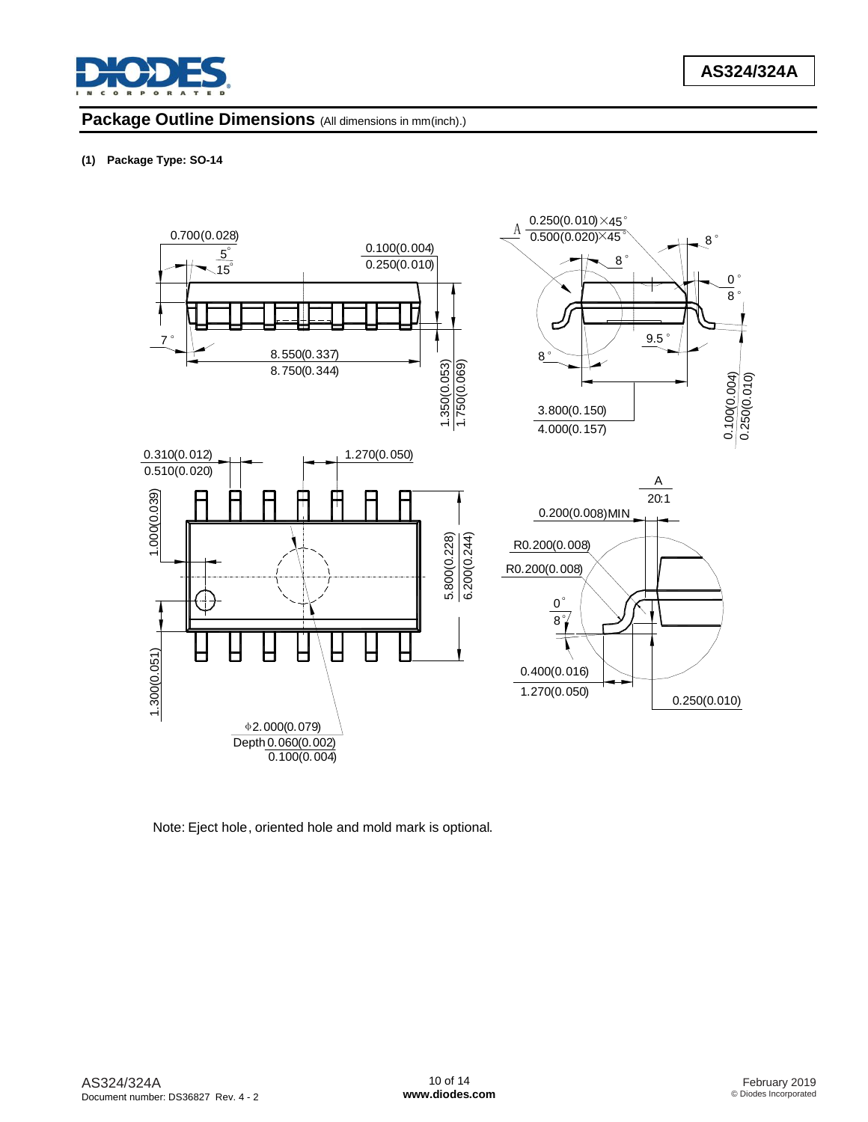

## **Package Outline Dimensions** (All dimensions in mm(inch).)

### **(1) Package Type: SO-14**



Note: Eject hole, oriented hole and mold mark is optional.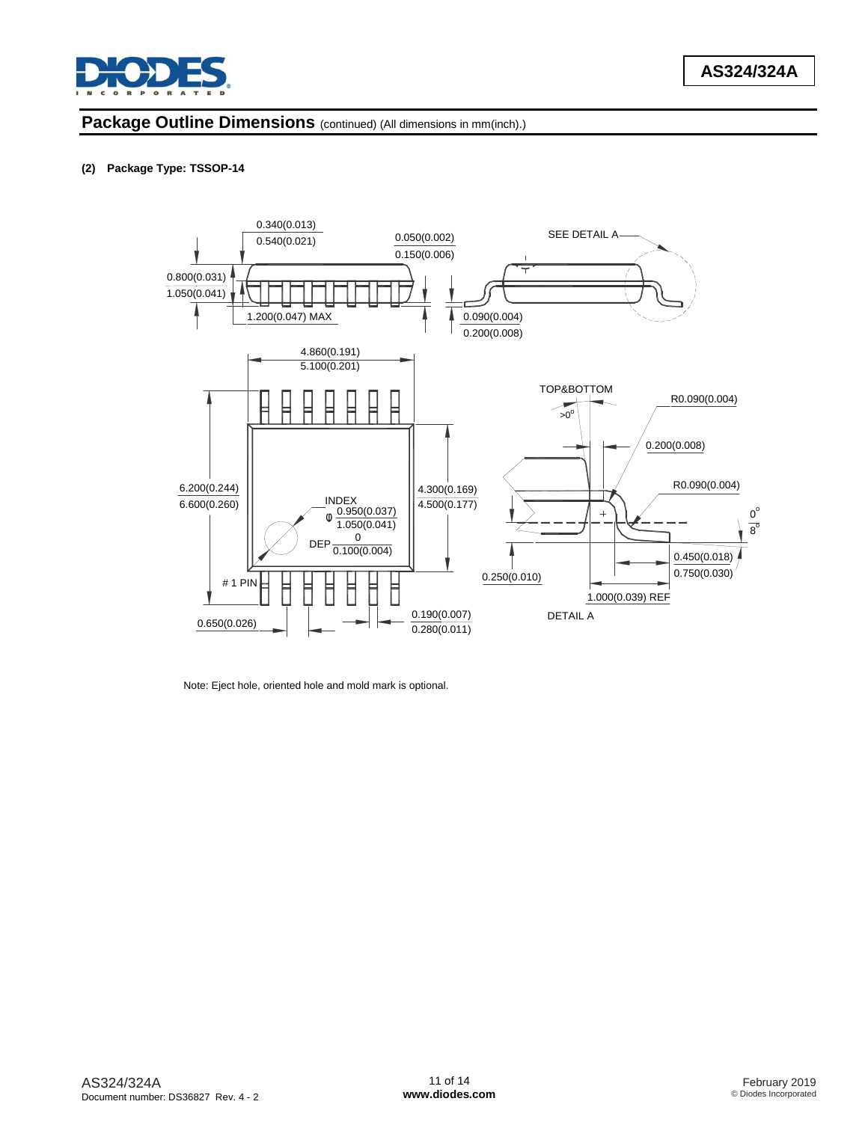

## **Package Outline Dimensions** (continued) (All dimensions in mm(inch).)

### **(2) Package Type: TSSOP-14**



Note: Eject hole, oriented hole and mold mark is optional.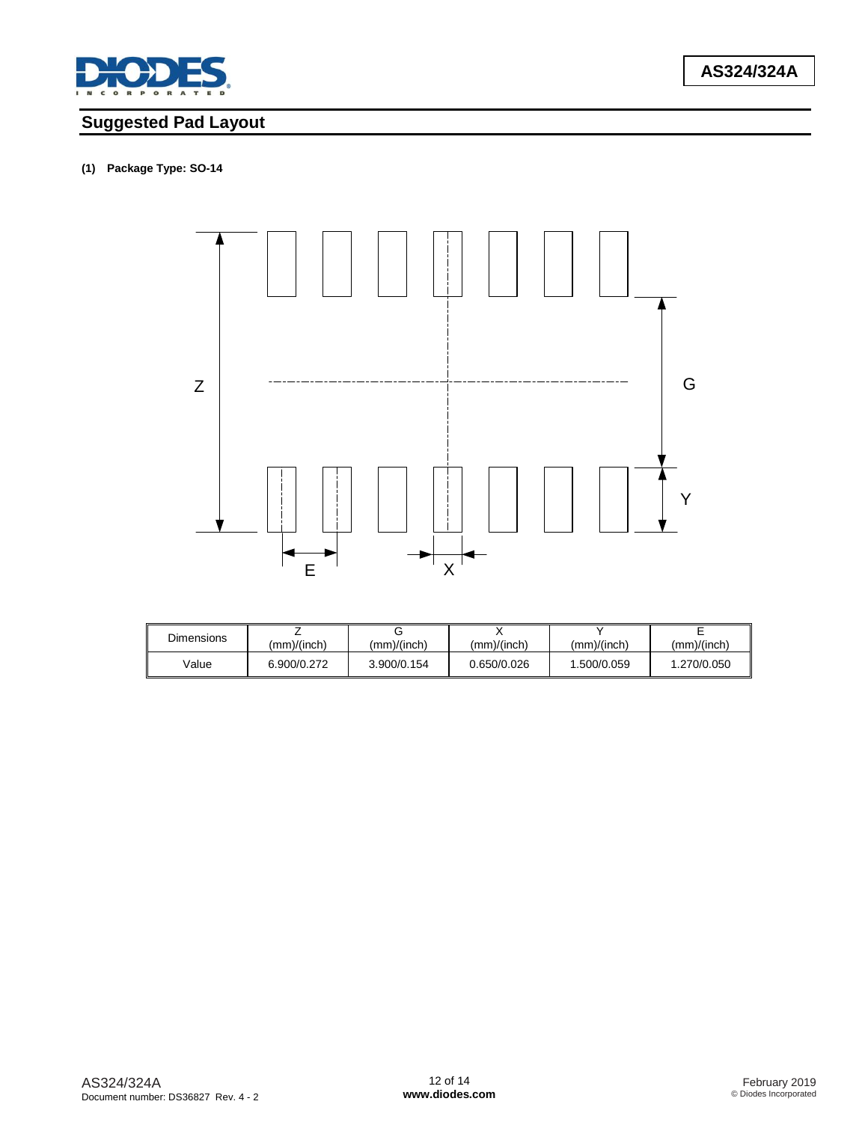

# **Suggested Pad Layout**

# **(1) Package Type: SO-14**



| Dimensions | (mm)/(inch) | (mm)/(inch) | (mm)/(inch) | (mm)/(inch) | (mm)/(inch) |
|------------|-------------|-------------|-------------|-------------|-------------|
| Value      | 6.900/0.272 | 3.900/0.154 | 0.650/0.026 | 1.500/0.059 | 1.270/0.050 |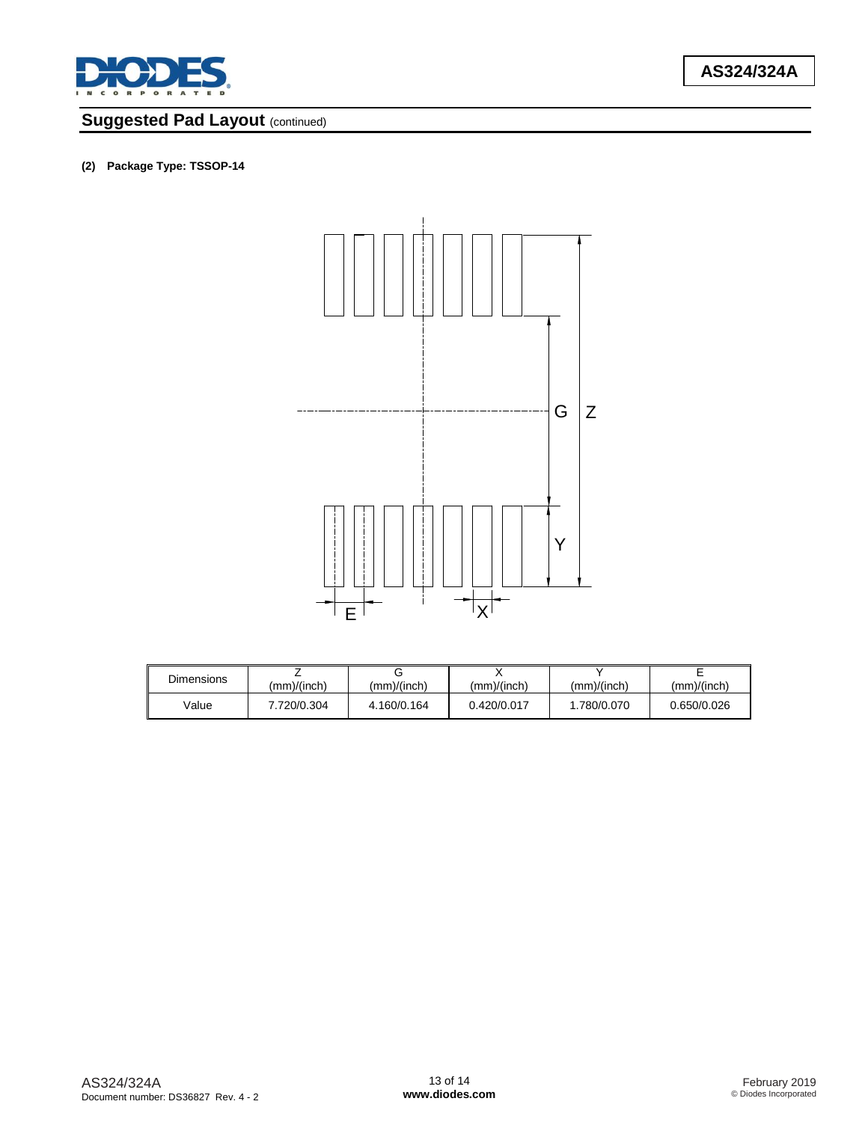

# **Suggested Pad Layout (continued)**

### **(2) Package Type: TSSOP-14**



| <b>Dimensions</b> | (mm)/(inch) | (mm)/(inch) | (mm)/(inch) | (mm)/(inch) | (mm)/(inch) |
|-------------------|-------------|-------------|-------------|-------------|-------------|
| Value             | 7.720/0.304 | 4.160/0.164 | 0.420/0.017 | .780/0.070  | 0.650/0.026 |